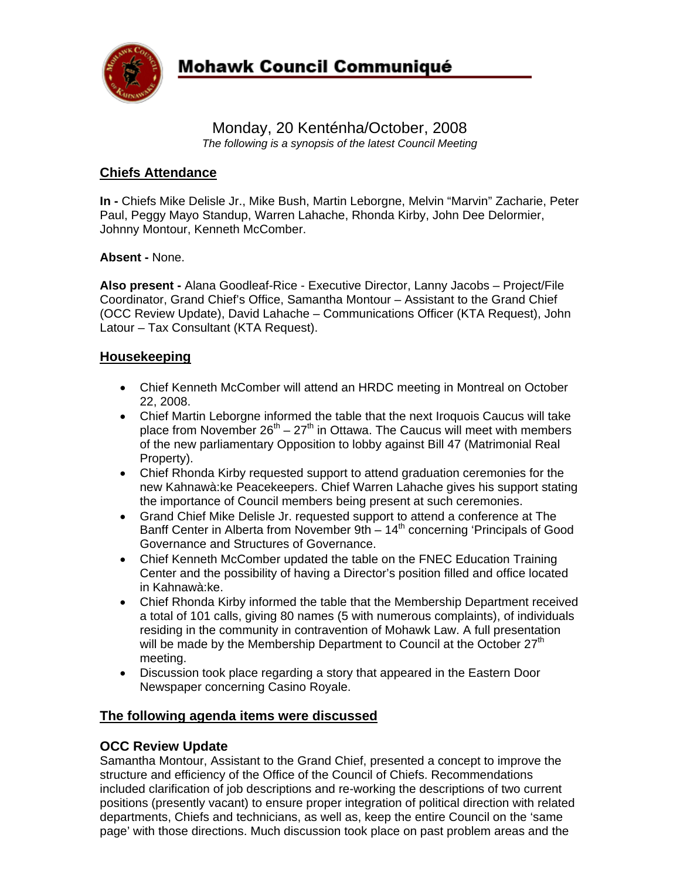

# Monday, 20 Kenténha/October, 2008 *The following is a synopsis of the latest Council Meeting*

# **Chiefs Attendance**

**In -** Chiefs Mike Delisle Jr., Mike Bush, Martin Leborgne, Melvin "Marvin" Zacharie, Peter Paul, Peggy Mayo Standup, Warren Lahache, Rhonda Kirby, John Dee Delormier, Johnny Montour, Kenneth McComber.

#### **Absent -** None.

**Also present -** Alana Goodleaf-Rice - Executive Director, Lanny Jacobs – Project/File Coordinator, Grand Chief's Office, Samantha Montour – Assistant to the Grand Chief (OCC Review Update), David Lahache – Communications Officer (KTA Request), John Latour – Tax Consultant (KTA Request).

#### **Housekeeping**

- Chief Kenneth McComber will attend an HRDC meeting in Montreal on October 22, 2008.
- Chief Martin Leborgne informed the table that the next Iroquois Caucus will take place from November  $26<sup>th</sup> - 27<sup>th</sup>$  in Ottawa. The Caucus will meet with members of the new parliamentary Opposition to lobby against Bill 47 (Matrimonial Real Property).
- Chief Rhonda Kirby requested support to attend graduation ceremonies for the new Kahnawà:ke Peacekeepers. Chief Warren Lahache gives his support stating the importance of Council members being present at such ceremonies.
- Grand Chief Mike Delisle Jr. requested support to attend a conference at The Banff Center in Alberta from November 9th  $-14<sup>th</sup>$  concerning 'Principals of Good Governance and Structures of Governance.
- Chief Kenneth McComber updated the table on the FNEC Education Training Center and the possibility of having a Director's position filled and office located in Kahnawà:ke.
- Chief Rhonda Kirby informed the table that the Membership Department received a total of 101 calls, giving 80 names (5 with numerous complaints), of individuals residing in the community in contravention of Mohawk Law. A full presentation will be made by the Membership Department to Council at the October  $27<sup>th</sup>$ meeting.
- Discussion took place regarding a story that appeared in the Eastern Door Newspaper concerning Casino Royale.

## **The following agenda items were discussed**

## **OCC Review Update**

Samantha Montour, Assistant to the Grand Chief, presented a concept to improve the structure and efficiency of the Office of the Council of Chiefs. Recommendations included clarification of job descriptions and re-working the descriptions of two current positions (presently vacant) to ensure proper integration of political direction with related departments, Chiefs and technicians, as well as, keep the entire Council on the 'same page' with those directions. Much discussion took place on past problem areas and the